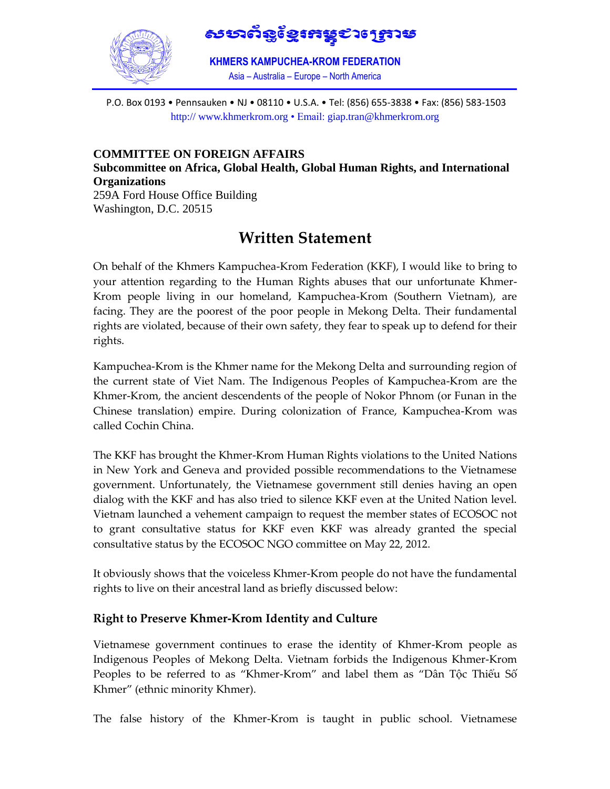

೪ಬಲ್ಪಣ್ಣಿಕುಣಿತ್ತು ಇಂಡಿತು

**KHMERS KAMPUCHEA-KROM FEDERATION** Asia – Australia – Europe – North America 

P.O. Box 0193 • Pennsauken • NJ • 08110 • U.S.A. • Tel: (856) 655-3838 • Fax: (856) 583-1503 http:// www.khmerkrom.org • Email: giap.tran@khmerkrom.org

**COMMITTEE ON FOREIGN AFFAIRS Subcommittee on Africa, Global Health, Global Human Rights, and International Organizations** 259A Ford House Office Building Washington, D.C. 20515

# **Written Statement**

On behalf of the Khmers Kampuchea-Krom Federation (KKF), I would like to bring to your attention regarding to the Human Rights abuses that our unfortunate Khmer-Krom people living in our homeland, Kampuchea-Krom (Southern Vietnam), are facing. They are the poorest of the poor people in Mekong Delta. Their fundamental rights are violated, because of their own safety, they fear to speak up to defend for their rights.

Kampuchea-Krom is the Khmer name for the Mekong Delta and surrounding region of the current state of Viet Nam. The Indigenous Peoples of Kampuchea-Krom are the Khmer-Krom, the ancient descendents of the people of Nokor Phnom (or Funan in the Chinese translation) empire. During colonization of France, Kampuchea-Krom was called Cochin China.

The KKF has brought the Khmer-Krom Human Rights violations to the United Nations in New York and Geneva and provided possible recommendations to the Vietnamese government. Unfortunately, the Vietnamese government still denies having an open dialog with the KKF and has also tried to silence KKF even at the United Nation level. Vietnam launched a vehement campaign to request the member states of ECOSOC not to grant consultative status for KKF even KKF was already granted the special consultative status by the ECOSOC NGO committee on May 22, 2012.

It obviously shows that the voiceless Khmer-Krom people do not have the fundamental rights to live on their ancestral land as briefly discussed below:

# **Right to Preserve Khmer-Krom Identity and Culture**

Vietnamese government continues to erase the identity of Khmer-Krom people as Indigenous Peoples of Mekong Delta. Vietnam forbids the Indigenous Khmer-Krom Peoples to be referred to as "Khmer-Krom" and label them as "Dân Tộc Thiểu Số Khmer" (ethnic minority Khmer).

The false history of the Khmer-Krom is taught in public school. Vietnamese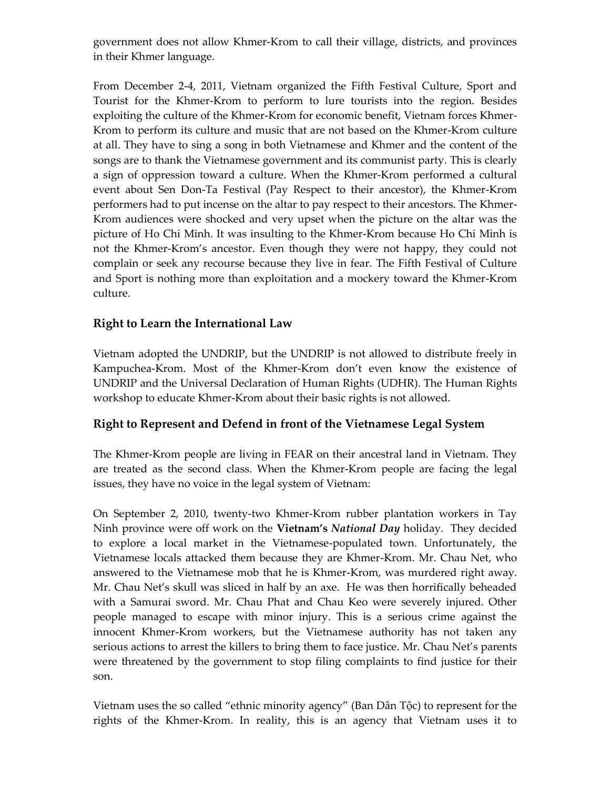government does not allow Khmer-Krom to call their village, districts, and provinces in their Khmer language.

From December 2-4, 2011, Vietnam organized the Fifth Festival Culture, Sport and Tourist for the Khmer-Krom to perform to lure tourists into the region. Besides exploiting the culture of the Khmer-Krom for economic benefit, Vietnam forces Khmer-Krom to perform its culture and music that are not based on the Khmer-Krom culture at all. They have to sing a song in both Vietnamese and Khmer and the content of the songs are to thank the Vietnamese government and its communist party. This is clearly a sign of oppression toward a culture. When the Khmer-Krom performed a cultural event about Sen Don-Ta Festival (Pay Respect to their ancestor), the Khmer-Krom performers had to put incense on the altar to pay respect to their ancestors. The Khmer-Krom audiences were shocked and very upset when the picture on the altar was the picture of Ho Chi Minh. It was insulting to the Khmer-Krom because Ho Chi Minh is not the Khmer-Krom's ancestor. Even though they were not happy, they could not complain or seek any recourse because they live in fear. The Fifth Festival of Culture and Sport is nothing more than exploitation and a mockery toward the Khmer-Krom culture.

# **Right to Learn the International Law**

Vietnam adopted the UNDRIP, but the UNDRIP is not allowed to distribute freely in Kampuchea-Krom. Most of the Khmer-Krom don't even know the existence of UNDRIP and the Universal Declaration of Human Rights (UDHR). The Human Rights workshop to educate Khmer-Krom about their basic rights is not allowed.

# **Right to Represent and Defend in front of the Vietnamese Legal System**

The Khmer-Krom people are living in FEAR on their ancestral land in Vietnam. They are treated as the second class. When the Khmer-Krom people are facing the legal issues, they have no voice in the legal system of Vietnam:

On September 2, 2010, twenty-two Khmer-Krom rubber plantation workers in Tay Ninh province were off work on the **Vietnam's** *National Day* holiday. They decided to explore a local market in the Vietnamese-populated town. Unfortunately, the Vietnamese locals attacked them because they are Khmer-Krom. Mr. Chau Net, who answered to the Vietnamese mob that he is Khmer-Krom, was murdered right away. Mr. Chau Net's skull was sliced in half by an axe. He was then horrifically beheaded with a Samurai sword. Mr. Chau Phat and Chau Keo were severely injured. Other people managed to escape with minor injury. This is a serious crime against the innocent Khmer-Krom workers, but the Vietnamese authority has not taken any serious actions to arrest the killers to bring them to face justice. Mr. Chau Net's parents were threatened by the government to stop filing complaints to find justice for their son.

Vietnam uses the so called "ethnic minority agency" (Ban Dân Tộc) to represent for the rights of the Khmer-Krom. In reality, this is an agency that Vietnam uses it to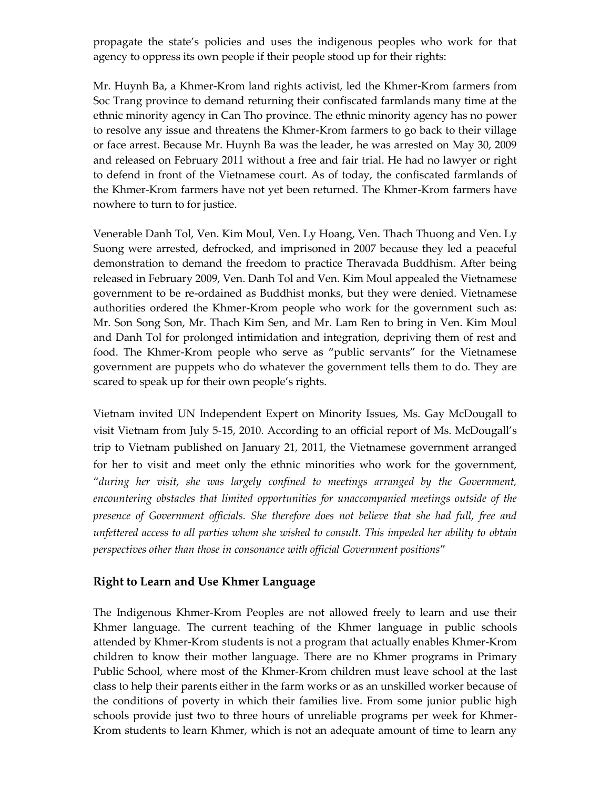propagate the state's policies and uses the indigenous peoples who work for that agency to oppress its own people if their people stood up for their rights:

Mr. Huynh Ba, a Khmer-Krom land rights activist, led the Khmer-Krom farmers from Soc Trang province to demand returning their confiscated farmlands many time at the ethnic minority agency in Can Tho province. The ethnic minority agency has no power to resolve any issue and threatens the Khmer-Krom farmers to go back to their village or face arrest. Because Mr. Huynh Ba was the leader, he was arrested on May 30, 2009 and released on February 2011 without a free and fair trial. He had no lawyer or right to defend in front of the Vietnamese court. As of today, the confiscated farmlands of the Khmer-Krom farmers have not yet been returned. The Khmer-Krom farmers have nowhere to turn to for justice.

Venerable Danh Tol, Ven. Kim Moul, Ven. Ly Hoang, Ven. Thach Thuong and Ven. Ly Suong were arrested, defrocked, and imprisoned in 2007 because they led a peaceful demonstration to demand the freedom to practice Theravada Buddhism. After being released in February 2009, Ven. Danh Tol and Ven. Kim Moul appealed the Vietnamese government to be re-ordained as Buddhist monks, but they were denied. Vietnamese authorities ordered the Khmer-Krom people who work for the government such as: Mr. Son Song Son, Mr. Thach Kim Sen, and Mr. Lam Ren to bring in Ven. Kim Moul and Danh Tol for prolonged intimidation and integration, depriving them of rest and food. The Khmer-Krom people who serve as "public servants" for the Vietnamese government are puppets who do whatever the government tells them to do. They are scared to speak up for their own people's rights.

Vietnam invited UN Independent Expert on Minority Issues, Ms. Gay McDougall to visit Vietnam from July 5-15, 2010. According to an official report of Ms. McDougall's trip to Vietnam published on January 21, 2011, the Vietnamese government arranged for her to visit and meet only the ethnic minorities who work for the government, "*during her visit, she was largely confined to meetings arranged by the Government, encountering obstacles that limited opportunities for unaccompanied meetings outside of the presence of Government officials. She therefore does not believe that she had full, free and unfettered access to all parties whom she wished to consult. This impeded her ability to obtain perspectives other than those in consonance with official Government positions*"

#### **Right to Learn and Use Khmer Language**

The Indigenous Khmer-Krom Peoples are not allowed freely to learn and use their Khmer language. The current teaching of the Khmer language in public schools attended by Khmer-Krom students is not a program that actually enables Khmer-Krom children to know their mother language. There are no Khmer programs in Primary Public School, where most of the Khmer-Krom children must leave school at the last class to help their parents either in the farm works or as an unskilled worker because of the conditions of poverty in which their families live. From some junior public high schools provide just two to three hours of unreliable programs per week for Khmer-Krom students to learn Khmer, which is not an adequate amount of time to learn any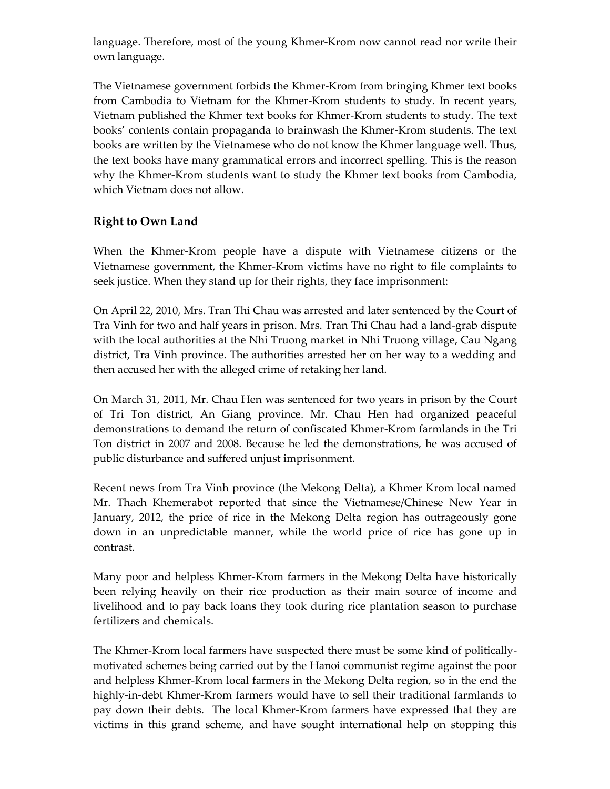language. Therefore, most of the young Khmer-Krom now cannot read nor write their own language.

The Vietnamese government forbids the Khmer-Krom from bringing Khmer text books from Cambodia to Vietnam for the Khmer-Krom students to study. In recent years, Vietnam published the Khmer text books for Khmer-Krom students to study. The text books' contents contain propaganda to brainwash the Khmer-Krom students. The text books are written by the Vietnamese who do not know the Khmer language well. Thus, the text books have many grammatical errors and incorrect spelling. This is the reason why the Khmer-Krom students want to study the Khmer text books from Cambodia, which Vietnam does not allow.

# **Right to Own Land**

When the Khmer-Krom people have a dispute with Vietnamese citizens or the Vietnamese government, the Khmer-Krom victims have no right to file complaints to seek justice. When they stand up for their rights, they face imprisonment:

On April 22, 2010, Mrs. Tran Thi Chau was arrested and later sentenced by the Court of Tra Vinh for two and half years in prison. Mrs. Tran Thi Chau had a land-grab dispute with the local authorities at the Nhi Truong market in Nhi Truong village, Cau Ngang district, Tra Vinh province. The authorities arrested her on her way to a wedding and then accused her with the alleged crime of retaking her land.

On March 31, 2011, Mr. Chau Hen was sentenced for two years in prison by the Court of Tri Ton district, An Giang province. Mr. Chau Hen had organized peaceful demonstrations to demand the return of confiscated Khmer-Krom farmlands in the Tri Ton district in 2007 and 2008. Because he led the demonstrations, he was accused of public disturbance and suffered unjust imprisonment.

Recent news from Tra Vinh province (the Mekong Delta), a Khmer Krom local named Mr. Thach Khemerabot reported that since the Vietnamese/Chinese New Year in January, 2012, the price of rice in the Mekong Delta region has outrageously gone down in an unpredictable manner, while the world price of rice has gone up in contrast.

Many poor and helpless Khmer-Krom farmers in the Mekong Delta have historically been relying heavily on their rice production as their main source of income and livelihood and to pay back loans they took during rice plantation season to purchase fertilizers and chemicals.

The Khmer-Krom local farmers have suspected there must be some kind of politicallymotivated schemes being carried out by the Hanoi communist regime against the poor and helpless Khmer-Krom local farmers in the Mekong Delta region, so in the end the highly-in-debt Khmer-Krom farmers would have to sell their traditional farmlands to pay down their debts. The local Khmer-Krom farmers have expressed that they are victims in this grand scheme, and have sought international help on stopping this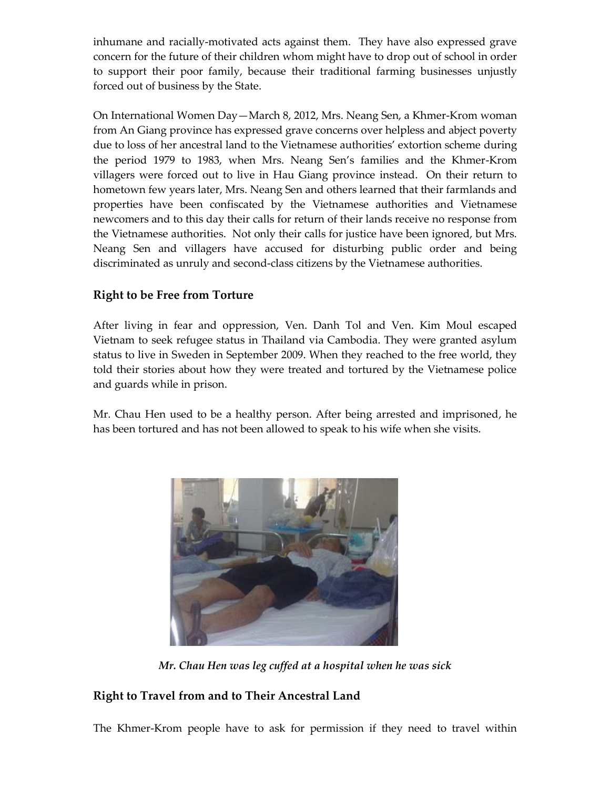inhumane and racially-motivated acts against them. They have also expressed grave concern for the future of their children whom might have to drop out of school in order to support their poor family, because their traditional farming businesses unjustly forced out of business by the State.

On International Women Day—March 8, 2012, Mrs. Neang Sen, a Khmer-Krom woman from An Giang province has expressed grave concerns over helpless and abject poverty due to loss of her ancestral land to the Vietnamese authorities' extortion scheme during the period 1979 to 1983, when Mrs. Neang Sen's families and the Khmer-Krom villagers were forced out to live in Hau Giang province instead. On their return to hometown few years later, Mrs. Neang Sen and others learned that their farmlands and properties have been confiscated by the Vietnamese authorities and Vietnamese newcomers and to this day their calls for return of their lands receive no response from the Vietnamese authorities. Not only their calls for justice have been ignored, but Mrs. Neang Sen and villagers have accused for disturbing public order and being discriminated as unruly and second-class citizens by the Vietnamese authorities.

# **Right to be Free from Torture**

After living in fear and oppression, Ven. Danh Tol and Ven. Kim Moul escaped Vietnam to seek refugee status in Thailand via Cambodia. They were granted asylum status to live in Sweden in September 2009. When they reached to the free world, they told their stories about how they were treated and tortured by the Vietnamese police and guards while in prison.

Mr. Chau Hen used to be a healthy person. After being arrested and imprisoned, he has been tortured and has not been allowed to speak to his wife when she visits.



*Mr. Chau Hen was leg cuffed at a hospital when he was sick*

# **Right to Travel from and to Their Ancestral Land**

The Khmer-Krom people have to ask for permission if they need to travel within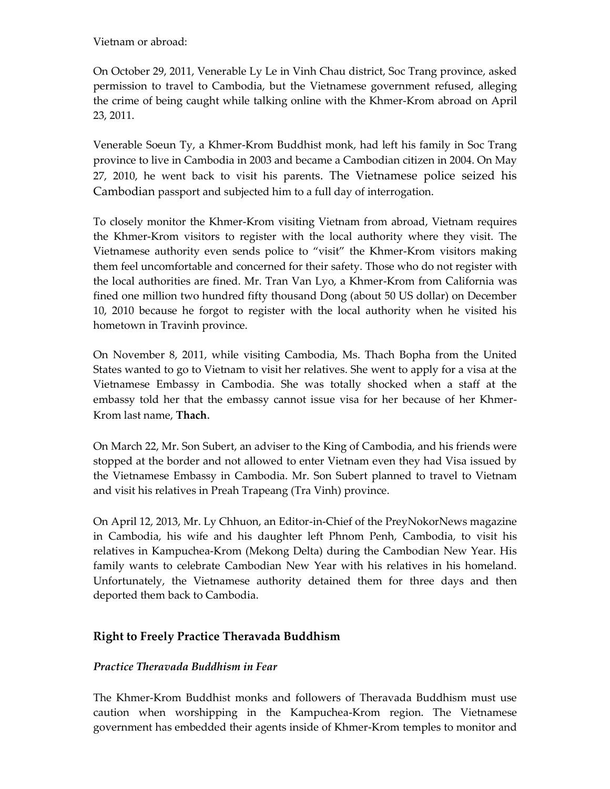Vietnam or abroad:

On October 29, 2011, Venerable Ly Le in Vinh Chau district, Soc Trang province, asked permission to travel to Cambodia, but the Vietnamese government refused, alleging the crime of being caught while talking online with the Khmer-Krom abroad on April 23, 2011.

Venerable Soeun Ty, a Khmer-Krom Buddhist monk, had left his family in Soc Trang province to live in Cambodia in 2003 and became a Cambodian citizen in 2004. On May 27, 2010, he went back to visit his parents. The Vietnamese police seized his Cambodian passport and subjected him to a full day of interrogation.

To closely monitor the Khmer-Krom visiting Vietnam from abroad, Vietnam requires the Khmer-Krom visitors to register with the local authority where they visit. The Vietnamese authority even sends police to "visit" the Khmer-Krom visitors making them feel uncomfortable and concerned for their safety. Those who do not register with the local authorities are fined. Mr. Tran Van Lyo, a Khmer-Krom from California was fined one million two hundred fifty thousand Dong (about 50 US dollar) on December 10, 2010 because he forgot to register with the local authority when he visited his hometown in Travinh province.

On November 8, 2011, while visiting Cambodia, Ms. Thach Bopha from the United States wanted to go to Vietnam to visit her relatives. She went to apply for a visa at the Vietnamese Embassy in Cambodia. She was totally shocked when a staff at the embassy told her that the embassy cannot issue visa for her because of her Khmer-Krom last name, **Thach**.

On March 22, Mr. Son Subert, an adviser to the King of Cambodia, and his friends were stopped at the border and not allowed to enter Vietnam even they had Visa issued by the Vietnamese Embassy in Cambodia. Mr. Son Subert planned to travel to Vietnam and visit his relatives in Preah Trapeang (Tra Vinh) province.

On April 12, 2013, Mr. Ly Chhuon, an Editor-in-Chief of the PreyNokorNews magazine in Cambodia, his wife and his daughter left Phnom Penh, Cambodia, to visit his relatives in Kampuchea-Krom (Mekong Delta) during the Cambodian New Year. His family wants to celebrate Cambodian New Year with his relatives in his homeland. Unfortunately, the Vietnamese authority detained them for three days and then deported them back to Cambodia.

# **Right to Freely Practice Theravada Buddhism**

#### *Practice Theravada Buddhism in Fear*

The Khmer-Krom Buddhist monks and followers of Theravada Buddhism must use caution when worshipping in the Kampuchea-Krom region. The Vietnamese government has embedded their agents inside of Khmer-Krom temples to monitor and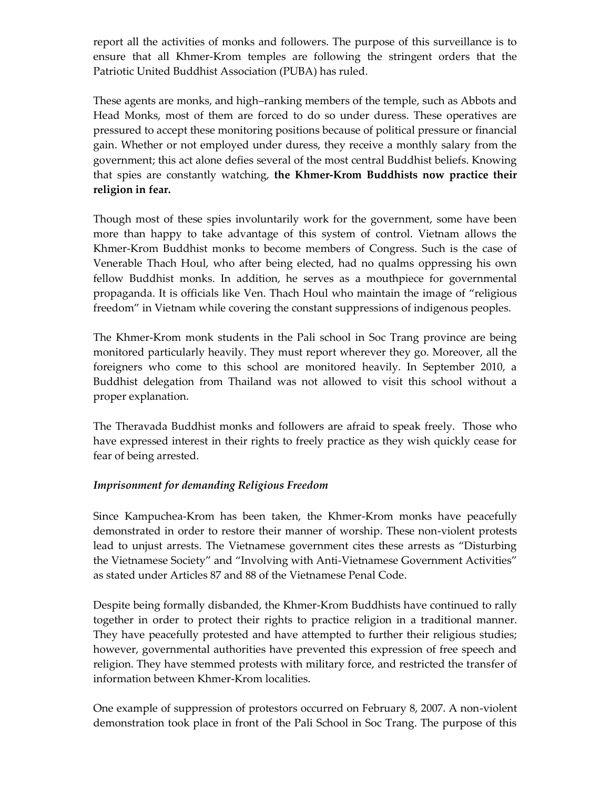report all the activities of monks and followers. The purpose of this surveillance is to ensure that all Khmer-Krom temples are following the stringent orders that the Patriotic United Buddhist Association (PUBA) has ruled.

These agents are monks, and high–ranking members of the temple, such as Abbots and Head Monks, most of them are forced to do so under duress. These operatives are pressured to accept these monitoring positions because of political pressure or financial gain. Whether or not employed under duress, they receive a monthly salary from the government; this act alone defies several of the most central Buddhist beliefs. Knowing that spies are constantly watching, **the Khmer-Krom Buddhists now practice their religion in fear.** 

Though most of these spies involuntarily work for the government, some have been more than happy to take advantage of this system of control. Vietnam allows the Khmer-Krom Buddhist monks to become members of Congress. Such is the case of Venerable Thach Houl, who after being elected, had no qualms oppressing his own fellow Buddhist monks. In addition, he serves as a mouthpiece for governmental propaganda. It is officials like Ven. Thach Houl who maintain the image of "religious freedom" in Vietnam while covering the constant suppressions of indigenous peoples.

The Khmer-Krom monk students in the Pali school in Soc Trang province are being monitored particularly heavily. They must report wherever they go. Moreover, all the foreigners who come to this school are monitored heavily. In September 2010, a Buddhist delegation from Thailand was not allowed to visit this school without a proper explanation.

The Theravada Buddhist monks and followers are afraid to speak freely. Those who have expressed interest in their rights to freely practice as they wish quickly cease for fear of being arrested.

#### *Imprisonment for demanding Religious Freedom*

Since Kampuchea-Krom has been taken, the Khmer-Krom monks have peacefully demonstrated in order to restore their manner of worship. These non-violent protests lead to unjust arrests. The Vietnamese government cites these arrests as "Disturbing the Vietnamese Society" and "Involving with Anti-Vietnamese Government Activities" as stated under Articles 87 and 88 of the Vietnamese Penal Code.

Despite being formally disbanded, the Khmer-Krom Buddhists have continued to rally together in order to protect their rights to practice religion in a traditional manner. They have peacefully protested and have attempted to further their religious studies; however, governmental authorities have prevented this expression of free speech and religion. They have stemmed protests with military force, and restricted the transfer of information between Khmer-Krom localities.

One example of suppression of protestors occurred on February 8, 2007. A non-violent demonstration took place in front of the Pali School in Soc Trang. The purpose of this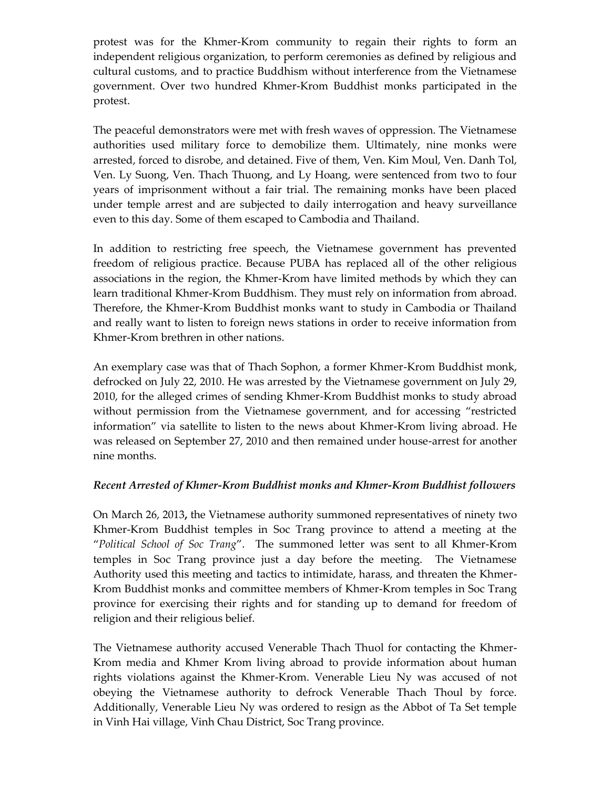protest was for the Khmer-Krom community to regain their rights to form an independent religious organization, to perform ceremonies as defined by religious and cultural customs, and to practice Buddhism without interference from the Vietnamese government. Over two hundred Khmer-Krom Buddhist monks participated in the protest.

The peaceful demonstrators were met with fresh waves of oppression. The Vietnamese authorities used military force to demobilize them. Ultimately, nine monks were arrested, forced to disrobe, and detained. Five of them, Ven. Kim Moul, Ven. Danh Tol, Ven. Ly Suong, Ven. Thach Thuong, and Ly Hoang, were sentenced from two to four years of imprisonment without a fair trial. The remaining monks have been placed under temple arrest and are subjected to daily interrogation and heavy surveillance even to this day. Some of them escaped to Cambodia and Thailand.

In addition to restricting free speech, the Vietnamese government has prevented freedom of religious practice. Because PUBA has replaced all of the other religious associations in the region, the Khmer-Krom have limited methods by which they can learn traditional Khmer-Krom Buddhism. They must rely on information from abroad. Therefore, the Khmer-Krom Buddhist monks want to study in Cambodia or Thailand and really want to listen to foreign news stations in order to receive information from Khmer-Krom brethren in other nations.

An exemplary case was that of Thach Sophon, a former Khmer-Krom Buddhist monk, defrocked on July 22, 2010. He was arrested by the Vietnamese government on July 29, 2010, for the alleged crimes of sending Khmer-Krom Buddhist monks to study abroad without permission from the Vietnamese government, and for accessing "restricted information" via satellite to listen to the news about Khmer-Krom living abroad. He was released on September 27, 2010 and then remained under house-arrest for another nine months.

#### *Recent Arrested of Khmer-Krom Buddhist monks and Khmer-Krom Buddhist followers*

On March 26, 2013**,** the Vietnamese authority summoned representatives of ninety two Khmer-Krom Buddhist temples in Soc Trang province to attend a meeting at the "*Political School of Soc Trang*". The summoned letter was sent to all Khmer-Krom temples in Soc Trang province just a day before the meeting. The Vietnamese Authority used this meeting and tactics to intimidate, harass, and threaten the Khmer-Krom Buddhist monks and committee members of Khmer-Krom temples in Soc Trang province for exercising their rights and for standing up to demand for freedom of religion and their religious belief.

The Vietnamese authority accused Venerable Thach Thuol for contacting the Khmer-Krom media and Khmer Krom living abroad to provide information about human rights violations against the Khmer-Krom. Venerable Lieu Ny was accused of not obeying the Vietnamese authority to defrock Venerable Thach Thoul by force. Additionally, Venerable Lieu Ny was ordered to resign as the Abbot of Ta Set temple in Vinh Hai village, Vinh Chau District, Soc Trang province.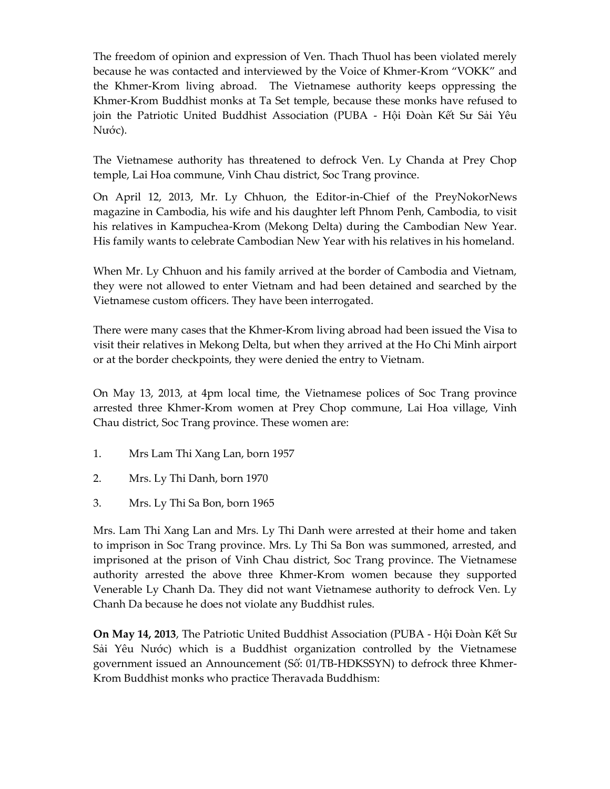The freedom of opinion and expression of Ven. Thach Thuol has been violated merely because he was contacted and interviewed by the Voice of Khmer-Krom "VOKK" and the Khmer-Krom living abroad. The Vietnamese authority keeps oppressing the Khmer-Krom Buddhist monks at Ta Set temple, because these monks have refused to join the Patriotic United Buddhist Association (PUBA - Hội Đoàn Kết Sư Sải Yêu Nước).

The Vietnamese authority has threatened to defrock Ven. Ly Chanda at Prey Chop temple, Lai Hoa commune, Vinh Chau district, Soc Trang province.

On April 12, 2013, Mr. Ly Chhuon, the Editor-in-Chief of the PreyNokorNews magazine in Cambodia, his wife and his daughter left Phnom Penh, Cambodia, to visit his relatives in Kampuchea-Krom (Mekong Delta) during the Cambodian New Year. His family wants to celebrate Cambodian New Year with his relatives in his homeland.

When Mr. Ly Chhuon and his family arrived at the border of Cambodia and Vietnam, they were not allowed to enter Vietnam and had been detained and searched by the Vietnamese custom officers. They have been interrogated.

There were many cases that the Khmer-Krom living abroad had been issued the Visa to visit their relatives in Mekong Delta, but when they arrived at the Ho Chi Minh airport or at the border checkpoints, they were denied the entry to Vietnam.

On May 13, 2013, at 4pm local time, the Vietnamese polices of Soc Trang province arrested three Khmer-Krom women at Prey Chop commune, Lai Hoa village, Vinh Chau district, Soc Trang province. These women are:

- 1. Mrs Lam Thi Xang Lan, born 1957
- 2. Mrs. Ly Thi Danh, born 1970
- 3. Mrs. Ly Thi Sa Bon, born 1965

Mrs. Lam Thi Xang Lan and Mrs. Ly Thi Danh were arrested at their home and taken to imprison in Soc Trang province. Mrs. Ly Thi Sa Bon was summoned, arrested, and imprisoned at the prison of Vinh Chau district, Soc Trang province. The Vietnamese authority arrested the above three Khmer-Krom women because they supported Venerable Ly Chanh Da. They did not want Vietnamese authority to defrock Ven. Ly Chanh Da because he does not violate any Buddhist rules.

**On May 14, 2013**, The Patriotic United Buddhist Association (PUBA - Hội Đoàn Kết Sư Sải Yêu Nước) which is a Buddhist organization controlled by the Vietnamese government issued an Announcement (Số: 01/TB-HĐKSSYN) to defrock three Khmer-Krom Buddhist monks who practice Theravada Buddhism: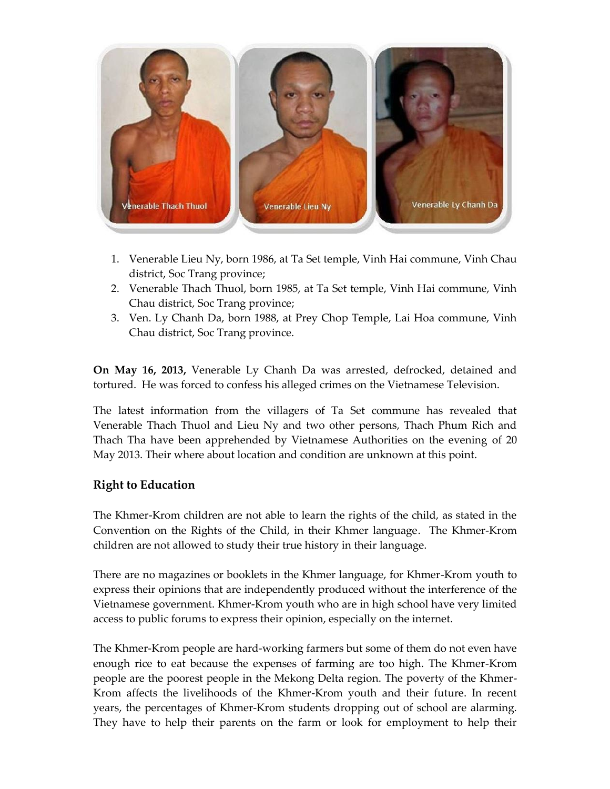

- 1. Venerable Lieu Ny, born 1986, at Ta Set temple, Vinh Hai commune, Vinh Chau district, Soc Trang province;
- 2. Venerable Thach Thuol, born 1985, at Ta Set temple, Vinh Hai commune, Vinh Chau district, Soc Trang province;
- 3. Ven. Ly Chanh Da, born 1988, at Prey Chop Temple, Lai Hoa commune, Vinh Chau district, Soc Trang province.

**On May 16, 2013,** Venerable Ly Chanh Da was arrested, defrocked, detained and tortured. He was forced to confess his alleged crimes on the Vietnamese Television.

The latest information from the villagers of Ta Set commune has revealed that Venerable Thach Thuol and Lieu Ny and two other persons, Thach Phum Rich and Thach Tha have been apprehended by Vietnamese Authorities on the evening of 20 May 2013. Their where about location and condition are unknown at this point.

# **Right to Education**

The Khmer-Krom children are not able to learn the rights of the child, as stated in the Convention on the Rights of the Child, in their Khmer language. The Khmer-Krom children are not allowed to study their true history in their language.

There are no magazines or booklets in the Khmer language, for Khmer-Krom youth to express their opinions that are independently produced without the interference of the Vietnamese government. Khmer-Krom youth who are in high school have very limited access to public forums to express their opinion, especially on the internet.

The Khmer-Krom people are hard-working farmers but some of them do not even have enough rice to eat because the expenses of farming are too high. The Khmer-Krom people are the poorest people in the Mekong Delta region. The poverty of the Khmer-Krom affects the livelihoods of the Khmer-Krom youth and their future. In recent years, the percentages of Khmer-Krom students dropping out of school are alarming. They have to help their parents on the farm or look for employment to help their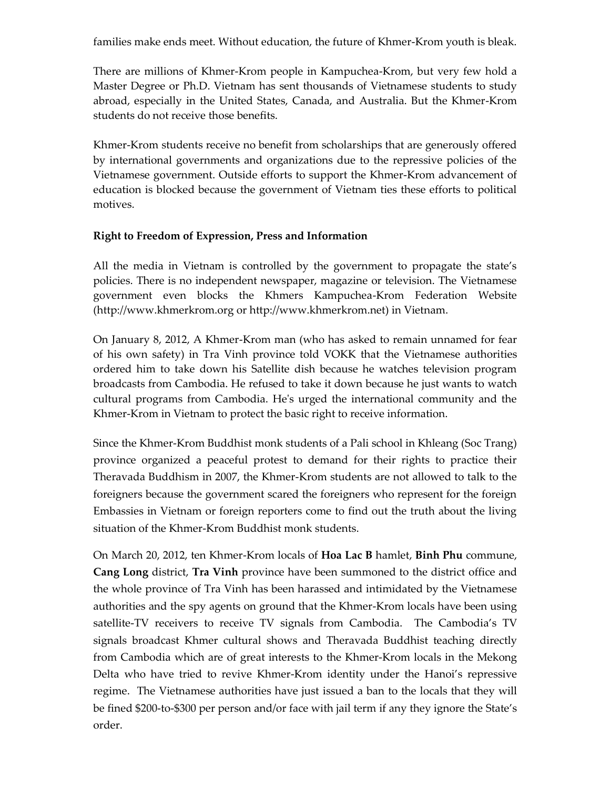families make ends meet. Without education, the future of Khmer-Krom youth is bleak.

There are millions of Khmer-Krom people in Kampuchea-Krom, but very few hold a Master Degree or Ph.D. Vietnam has sent thousands of Vietnamese students to study abroad, especially in the United States, Canada, and Australia. But the Khmer-Krom students do not receive those benefits.

Khmer-Krom students receive no benefit from scholarships that are generously offered by international governments and organizations due to the repressive policies of the Vietnamese government. Outside efforts to support the Khmer-Krom advancement of education is blocked because the government of Vietnam ties these efforts to political motives.

#### **Right to Freedom of Expression, Press and Information**

All the media in Vietnam is controlled by the government to propagate the state's policies. There is no independent newspaper, magazine or television. The Vietnamese government even blocks the Khmers Kampuchea-Krom Federation Website (http://www.khmerkrom.org or http://www.khmerkrom.net) in Vietnam.

On January 8, 2012, A Khmer-Krom man (who has asked to remain unnamed for fear of his own safety) in Tra Vinh province told VOKK that the Vietnamese authorities ordered him to take down his Satellite dish because he watches television program broadcasts from Cambodia. He refused to take it down because he just wants to watch cultural programs from Cambodia. He's urged the international community and the Khmer-Krom in Vietnam to protect the basic right to receive information.

Since the Khmer-Krom Buddhist monk students of a Pali school in Khleang (Soc Trang) province organized a peaceful protest to demand for their rights to practice their Theravada Buddhism in 2007, the Khmer-Krom students are not allowed to talk to the foreigners because the government scared the foreigners who represent for the foreign Embassies in Vietnam or foreign reporters come to find out the truth about the living situation of the Khmer-Krom Buddhist monk students.

On March 20, 2012, ten Khmer-Krom locals of **Hoa Lac B** hamlet, **Binh Phu** commune, **Cang Long** district, **Tra Vinh** province have been summoned to the district office and the whole province of Tra Vinh has been harassed and intimidated by the Vietnamese authorities and the spy agents on ground that the Khmer-Krom locals have been using satellite-TV receivers to receive TV signals from Cambodia. The Cambodia's TV signals broadcast Khmer cultural shows and Theravada Buddhist teaching directly from Cambodia which are of great interests to the Khmer-Krom locals in the Mekong Delta who have tried to revive Khmer-Krom identity under the Hanoi's repressive regime. The Vietnamese authorities have just issued a ban to the locals that they will be fined \$200-to-\$300 per person and/or face with jail term if any they ignore the State's order.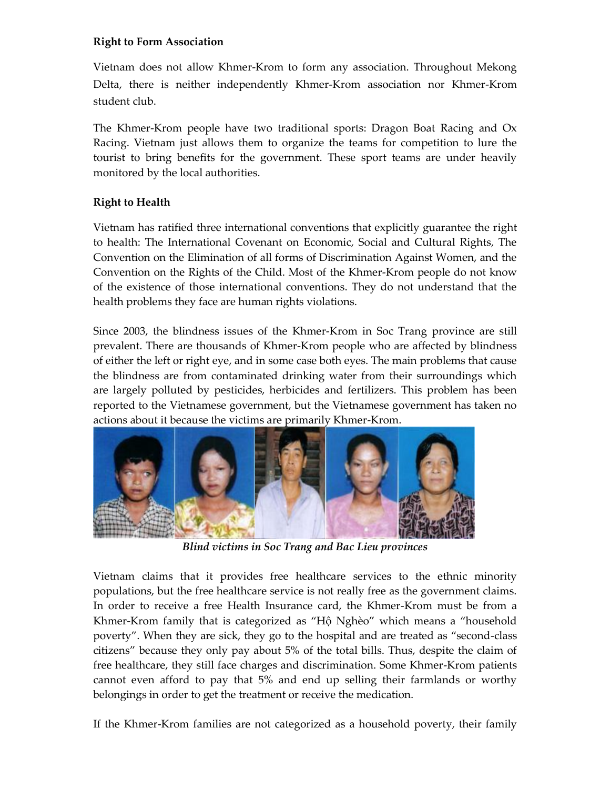#### **Right to Form Association**

Vietnam does not allow Khmer-Krom to form any association. Throughout Mekong Delta, there is neither independently Khmer-Krom association nor Khmer-Krom student club.

The Khmer-Krom people have two traditional sports: Dragon Boat Racing and  $Ox$ Racing. Vietnam just allows them to organize the teams for competition to lure the tourist to bring benefits for the government. These sport teams are under heavily monitored by the local authorities.

# **Right to Health**

Vietnam has ratified three international conventions that explicitly guarantee the right to health: The International Covenant on Economic, Social and Cultural Rights, The Convention on the Elimination of all forms of Discrimination Against Women, and the Convention on the Rights of the Child. Most of the Khmer-Krom people do not know of the existence of those international conventions. They do not understand that the health problems they face are human rights violations.

Since 2003, the blindness issues of the Khmer-Krom in Soc Trang province are still prevalent. There are thousands of Khmer-Krom people who are affected by blindness of either the left or right eye, and in some case both eyes. The main problems that cause the blindness are from contaminated drinking water from their surroundings which are largely polluted by pesticides, herbicides and fertilizers. This problem has been reported to the Vietnamese government, but the Vietnamese government has taken no actions about it because the victims are primarily Khmer-Krom.



*Blind victims in Soc Trang and Bac Lieu provinces*

Vietnam claims that it provides free healthcare services to the ethnic minority populations, but the free healthcare service is not really free as the government claims. In order to receive a free Health Insurance card, the Khmer-Krom must be from a Khmer-Krom family that is categorized as "Hộ Nghèo" which means a "household poverty". When they are sick, they go to the hospital and are treated as "second-class citizens" because they only pay about 5% of the total bills. Thus, despite the claim of free healthcare, they still face charges and discrimination. Some Khmer-Krom patients cannot even afford to pay that 5% and end up selling their farmlands or worthy belongings in order to get the treatment or receive the medication.

If the Khmer-Krom families are not categorized as a household poverty, their family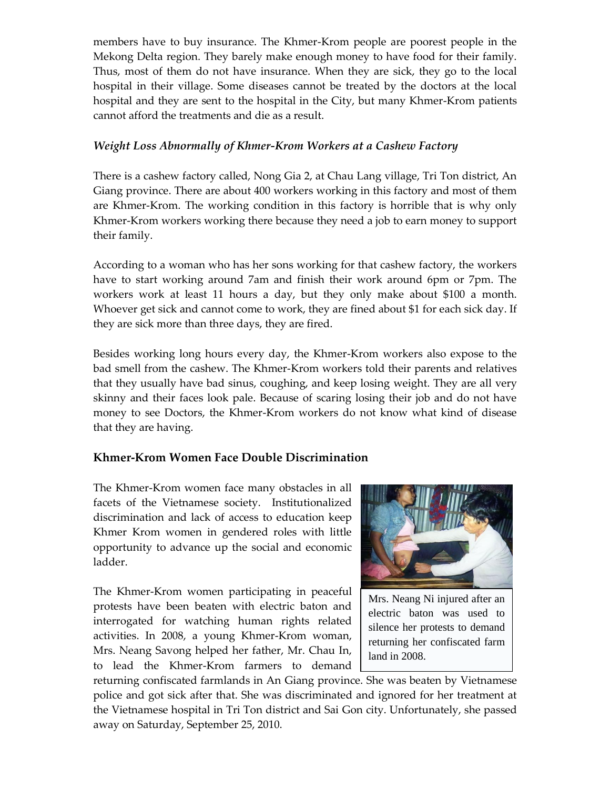members have to buy insurance. The Khmer-Krom people are poorest people in the Mekong Delta region. They barely make enough money to have food for their family. Thus, most of them do not have insurance. When they are sick, they go to the local hospital in their village. Some diseases cannot be treated by the doctors at the local hospital and they are sent to the hospital in the City, but many Khmer-Krom patients cannot afford the treatments and die as a result.

# *Weight Loss Abnormally of Khmer-Krom Workers at a Cashew Factory*

There is a cashew factory called, Nong Gia 2, at Chau Lang village, Tri Ton district, An Giang province. There are about 400 workers working in this factory and most of them are Khmer-Krom. The working condition in this factory is horrible that is why only Khmer-Krom workers working there because they need a job to earn money to support their family.

According to a woman who has her sons working for that cashew factory, the workers have to start working around 7am and finish their work around 6pm or 7pm. The workers work at least 11 hours a day, but they only make about \$100 a month. Whoever get sick and cannot come to work, they are fined about \$1 for each sick day. If they are sick more than three days, they are fired.

Besides working long hours every day, the Khmer-Krom workers also expose to the bad smell from the cashew. The Khmer-Krom workers told their parents and relatives that they usually have bad sinus, coughing, and keep losing weight. They are all very skinny and their faces look pale. Because of scaring losing their job and do not have money to see Doctors, the Khmer-Krom workers do not know what kind of disease that they are having.

# **Khmer-Krom Women Face Double Discrimination**

The Khmer-Krom women face many obstacles in all facets of the Vietnamese society. Institutionalized discrimination and lack of access to education keep Khmer Krom women in gendered roles with little opportunity to advance up the social and economic ladder.

The Khmer-Krom women participating in peaceful protests have been beaten with electric baton and interrogated for watching human rights related activities. In 2008, a young Khmer-Krom woman, Mrs. Neang Savong helped her father, Mr. Chau In, to lead the Khmer-Krom farmers to demand



Mrs. Neang Ni injured after an electric baton was used to silence her protests to demand returning her confiscated farm land in 2008.

returning confiscated farmlands in An Giang province. She was beaten by Vietnamese police and got sick after that. She was discriminated and ignored for her treatment at the Vietnamese hospital in Tri Ton district and Sai Gon city. Unfortunately, she passed away on Saturday, September 25, 2010.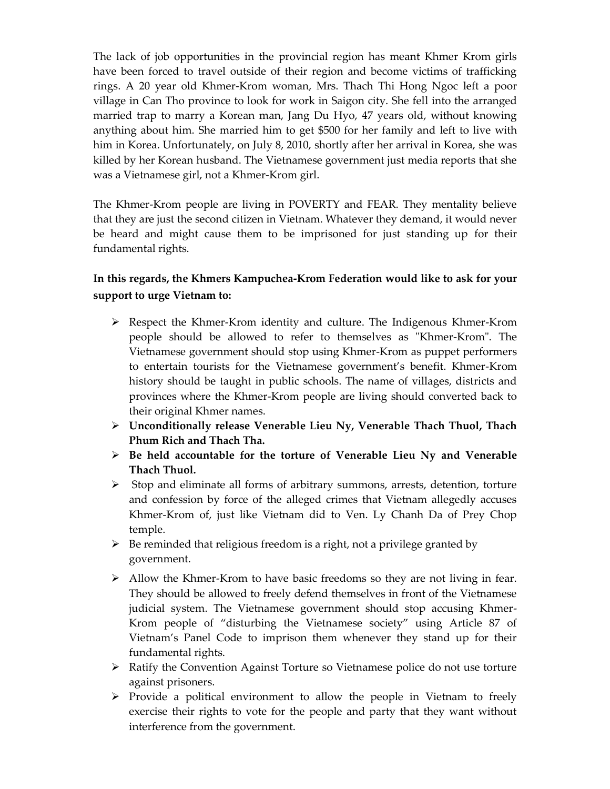The lack of job opportunities in the provincial region has meant Khmer Krom girls have been forced to travel outside of their region and become victims of trafficking rings. A 20 year old Khmer-Krom woman, Mrs. Thach Thi Hong Ngoc left a poor village in Can Tho province to look for work in Saigon city. She fell into the arranged married trap to marry a Korean man, Jang Du Hyo, 47 years old, without knowing anything about him. She married him to get \$500 for her family and left to live with him in Korea. Unfortunately, on July 8, 2010, shortly after her arrival in Korea, she was killed by her Korean husband. The Vietnamese government just media reports that she was a Vietnamese girl, not a Khmer-Krom girl.

The Khmer-Krom people are living in POVERTY and FEAR. They mentality believe that they are just the second citizen in Vietnam. Whatever they demand, it would never be heard and might cause them to be imprisoned for just standing up for their fundamental rights.

# **In this regards, the Khmers Kampuchea-Krom Federation would like to ask for your support to urge Vietnam to:**

- $\triangleright$  Respect the Khmer-Krom identity and culture. The Indigenous Khmer-Krom people should be allowed to refer to themselves as "Khmer-Krom". The Vietnamese government should stop using Khmer-Krom as puppet performers to entertain tourists for the Vietnamese government's benefit. Khmer-Krom history should be taught in public schools. The name of villages, districts and provinces where the Khmer-Krom people are living should converted back to their original Khmer names.
- **Unconditionally release Venerable Lieu Ny, Venerable Thach Thuol, Thach Phum Rich and Thach Tha.**
- **Be held accountable for the torture of Venerable Lieu Ny and Venerable Thach Thuol.**
- $\triangleright$  Stop and eliminate all forms of arbitrary summons, arrests, detention, torture and confession by force of the alleged crimes that Vietnam allegedly accuses Khmer-Krom of, just like Vietnam did to Ven. Ly Chanh Da of Prey Chop temple.
- $\triangleright$  Be reminded that religious freedom is a right, not a privilege granted by government.
- $\triangleright$  Allow the Khmer-Krom to have basic freedoms so they are not living in fear. They should be allowed to freely defend themselves in front of the Vietnamese judicial system. The Vietnamese government should stop accusing Khmer-Krom people of "disturbing the Vietnamese society" using Article 87 of Vietnam's Panel Code to imprison them whenever they stand up for their fundamental rights.
- $\triangleright$  Ratify the Convention Against Torture so Vietnamese police do not use torture against prisoners.
- $\triangleright$  Provide a political environment to allow the people in Vietnam to freely exercise their rights to vote for the people and party that they want without interference from the government.